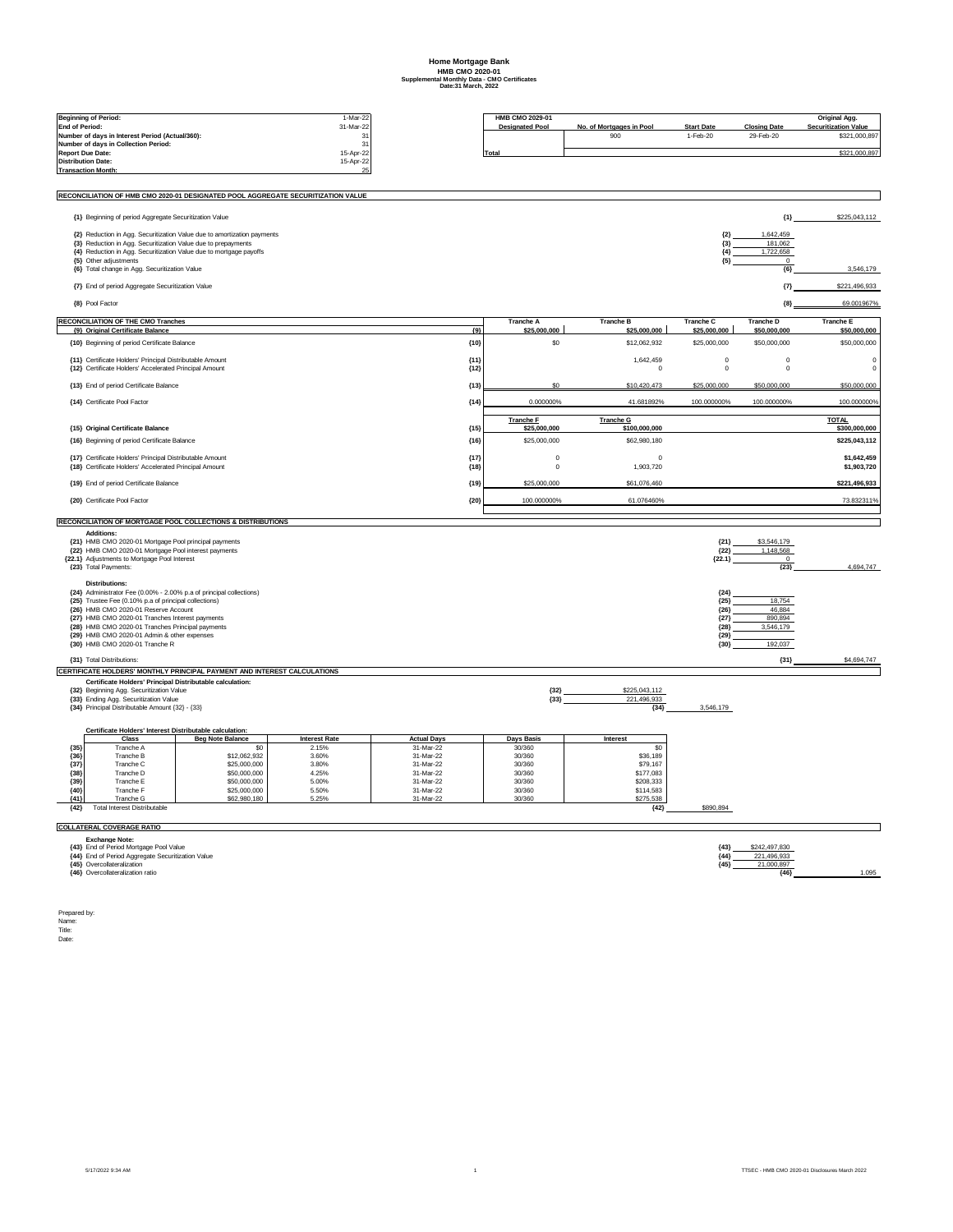## **Home Mortgage Bank HMB CMO 2020-01 Supplemental Monthly Data - CMO Certificates Date:31 March, 2022**

|                                  | <b>Beginning of Period:</b>                                                                                               |                                                                                  | 1-Mar-22             |                        | HMB CMO 2029-01            |                             |                           |                              | Original Agg.               |  |
|----------------------------------|---------------------------------------------------------------------------------------------------------------------------|----------------------------------------------------------------------------------|----------------------|------------------------|----------------------------|-----------------------------|---------------------------|------------------------------|-----------------------------|--|
| <b>End of Period:</b>            |                                                                                                                           |                                                                                  | 31-Mar-22            |                        | <b>Designated Pool</b>     | No. of Mortgages in Pool    | <b>Start Date</b>         | <b>Closing Date</b>          | <b>Securitization Value</b> |  |
|                                  | Number of davs in Interest Period (Actual/360):                                                                           |                                                                                  | 31                   |                        |                            | 900                         | 1-Feb-20                  | 29-Feb-20                    | \$321,000,897               |  |
|                                  | Number of days in Collection Period:<br><b>Report Due Date:</b>                                                           |                                                                                  | 31<br>15-Apr-22      |                        | <b>Total</b>               |                             |                           |                              | \$321,000,897               |  |
|                                  | <b>Distribution Date:</b>                                                                                                 |                                                                                  | 15-Apr-22            |                        |                            |                             |                           |                              |                             |  |
|                                  | <b>Transaction Month:</b>                                                                                                 |                                                                                  | つら                   |                        |                            |                             |                           |                              |                             |  |
|                                  |                                                                                                                           |                                                                                  |                      |                        |                            |                             |                           |                              |                             |  |
|                                  |                                                                                                                           | RECONCILIATION OF HMB CMO 2020-01 DESIGNATED POOL AGGREGATE SECURITIZATION VALUE |                      |                        |                            |                             |                           |                              |                             |  |
|                                  | {1} Beginning of period Aggregate Securitization Value                                                                    |                                                                                  |                      |                        |                            |                             |                           | ${1}$                        | \$225,043,112               |  |
|                                  |                                                                                                                           | {2} Reduction in Agg. Securitization Value due to amortization payments          |                      |                        |                            |                             | ${2}$                     | 1,642,459                    |                             |  |
|                                  | {3} Reduction in Agg. Securitization Value due to prepayments                                                             |                                                                                  |                      |                        |                            |                             | ${3}$<br>${4}$            | 181,062<br>1,722,658         |                             |  |
|                                  | {4} Reduction in Agg. Securitization Value due to mortgage payoffs<br>{5} Other adjustments                               |                                                                                  |                      |                        |                            |                             | ${5}$                     | $\mathbf 0$                  |                             |  |
|                                  | {6} Total change in Agg. Securitization Value                                                                             |                                                                                  |                      |                        |                            |                             |                           | ${6}$                        | 3,546,179                   |  |
|                                  | {7} End of period Aggregate Securitization Value                                                                          |                                                                                  |                      |                        |                            |                             |                           | $\{7\}$                      | \$221,496,933               |  |
|                                  | {8} Pool Factor                                                                                                           |                                                                                  |                      |                        |                            |                             |                           | ${8}$                        | 69.001967%                  |  |
|                                  | <b>RECONCILIATION OF THE CMO Tranches</b>                                                                                 |                                                                                  |                      |                        | <b>Tranche A</b>           | <b>Tranche B</b>            | Tranche C                 | Tranche D                    | <b>Tranche E</b>            |  |
|                                  | {9} Original Certificate Balance                                                                                          |                                                                                  |                      | ${9}$                  | \$25,000,000               | \$25,000,000                | \$25,000,000              | \$50,000,000                 | \$50,000,000                |  |
|                                  | {10} Beginning of period Certificate Balance                                                                              |                                                                                  |                      | (10)                   | \$0                        | \$12,062,932                | \$25,000,000              | \$50,000,000                 | \$50,000,000                |  |
|                                  | <b>{11} Certificate Holders' Principal Distributable Amount</b><br>{12} Certificate Holders' Accelerated Principal Amount |                                                                                  |                      | ${11}$<br>${12}$       |                            | 1.642.459<br>$\overline{0}$ | $\mathbf 0$<br>$^{\circ}$ | $\mathbf 0$<br>$\Omega$      | $^{\circ}$<br>$\pmb{0}$     |  |
|                                  | {13} End of period Certificate Balance                                                                                    |                                                                                  |                      | (13)                   | \$0                        | \$10,420,473                | \$25,000,000              | \$50,000,000                 | \$50,000,000                |  |
|                                  | {14} Certificate Pool Factor                                                                                              |                                                                                  |                      | ${14}$                 | 0.000000%                  | 41.681892%                  | 100.000000%               | 100.000000%                  | 100.000000%                 |  |
|                                  |                                                                                                                           |                                                                                  |                      |                        | <b>Tranche F</b>           | <b>Tranche G</b>            |                           |                              | <b>TOTAL</b>                |  |
|                                  | {15} Original Certificate Balance                                                                                         |                                                                                  |                      | (15)                   | \$25,000,000               | \$100,000,000               |                           |                              | \$300,000,000               |  |
|                                  | {16} Beginning of period Certificate Balance                                                                              |                                                                                  |                      | (16)                   | \$25,000,000               | \$62,980,180                |                           |                              | \$225,043,112               |  |
|                                  | {17} Certificate Holders' Principal Distributable Amount<br>{18} Certificate Holders' Accelerated Principal Amount        |                                                                                  |                      | (17)<br>(18)           | $\mathbf 0$<br>$\mathbf 0$ | $\Omega$<br>1,903,720       |                           |                              | \$1,642,459<br>\$1,903,720  |  |
|                                  | {19} End of period Certificate Balance                                                                                    |                                                                                  |                      | ${19}$                 | \$25,000,000               | \$61,076,460                |                           |                              | \$221,496,933               |  |
|                                  | {20} Certificate Pool Factor                                                                                              |                                                                                  |                      | (20)                   | 100.000000%                | 61.076460%                  |                           |                              | 73.832311%                  |  |
|                                  |                                                                                                                           |                                                                                  |                      |                        |                            |                             |                           |                              |                             |  |
|                                  | <b>Additions:</b>                                                                                                         | RECONCILIATION OF MORTGAGE POOL COLLECTIONS & DISTRIBUTIONS                      |                      |                        |                            |                             |                           |                              |                             |  |
|                                  | {21} HMB CMO 2020-01 Mortgage Pool principal payments                                                                     |                                                                                  |                      |                        |                            |                             | ${21}$                    | \$3,546,179                  |                             |  |
|                                  | {22} HMB CMO 2020-01 Mortgage Pool interest payments<br>{22.1} Adjustments to Mortgage Pool Interest                      |                                                                                  |                      |                        |                            |                             | (22)<br>${22.1}$          | 1,148,568<br>$\overline{0}$  |                             |  |
|                                  | {23} Total Payments:                                                                                                      |                                                                                  |                      |                        |                            |                             |                           | ${23}$                       | 4,694,747                   |  |
|                                  | <b>Distributions:</b>                                                                                                     |                                                                                  |                      |                        |                            |                             |                           |                              |                             |  |
|                                  | {24} Administrator Fee (0.00% - 2.00% p.a of principal collections)                                                       |                                                                                  |                      |                        |                            |                             | ${24}$                    |                              |                             |  |
|                                  | {25} Trustee Fee (0.10% p.a of principal collections)<br>{26} HMB CMO 2020-01 Reserve Account                             |                                                                                  |                      |                        |                            |                             | ${25}$<br>${26}$          | 18,754<br>46.884             |                             |  |
|                                  | {27} HMB CMO 2020-01 Tranches Interest payments                                                                           |                                                                                  |                      |                        |                            |                             | ${27}$                    | 890,894                      |                             |  |
|                                  | {28} HMB CMO 2020-01 Tranches Principal payments                                                                          |                                                                                  |                      |                        |                            |                             | ${28}$                    | 3,546,179                    |                             |  |
|                                  | {29} HMB CMO 2020-01 Admin & other expenses<br>{30} HMB CMO 2020-01 Tranche R                                             |                                                                                  |                      |                        |                            |                             | (29)<br>${30}$            | 192,037                      |                             |  |
|                                  |                                                                                                                           |                                                                                  |                      |                        |                            |                             |                           |                              |                             |  |
|                                  | {31} Total Distributions:                                                                                                 |                                                                                  |                      |                        |                            |                             |                           | ${31}$                       | \$4,694,747                 |  |
|                                  | Certificate Holders' Principal Distributable calculation:                                                                 | CERTIFICATE HOLDERS' MONTHLY PRINCIPAL PAYMENT AND INTEREST CALCULATIONS         |                      |                        |                            |                             |                           |                              |                             |  |
|                                  | {32} Beginning Agg. Securitization Value                                                                                  |                                                                                  |                      |                        | ${32}$                     | \$225,043,112               |                           |                              |                             |  |
|                                  | {33} Ending Agg. Securitization Value                                                                                     |                                                                                  |                      |                        | (33)                       | 221.496.933                 |                           |                              |                             |  |
|                                  | {34} Principal Distributable Amount {32} - {33}                                                                           |                                                                                  |                      |                        |                            | ${34}$                      | 3,546,179                 |                              |                             |  |
|                                  | Certificate Holders' Interest Distributable calculation:                                                                  |                                                                                  |                      |                        |                            |                             |                           |                              |                             |  |
|                                  | Class                                                                                                                     | <b>Beg Note Balance</b>                                                          | <b>Interest Rate</b> | <b>Actual Days</b>     | Days Basis                 | Interest                    |                           |                              |                             |  |
| ${35}$<br>${36}$                 | Tranche A<br>Tranche B                                                                                                    | \$12,062,932                                                                     | 2.15%<br>3.60%       | 31-Mar-22<br>31-Mar-22 | 30/360<br>30/360           | \$0<br>\$36,189             |                           |                              |                             |  |
| ${37}$                           | Tranche C                                                                                                                 | \$25,000,000                                                                     | 3.80%                | 31-Mar-22              | 30/360                     | \$79,167                    |                           |                              |                             |  |
| ${38}$                           | Tranche D                                                                                                                 | \$50,000,000                                                                     | 4.25%                | 31-Mar-22              | 30/360                     | \$177,083                   |                           |                              |                             |  |
| ${39}$                           | Tranche E                                                                                                                 | \$50,000,000                                                                     | 5.00%                | 31-Mar-22              | 30/360<br>30/360           | \$208,333                   |                           |                              |                             |  |
| ${40}$<br>${41}$                 | Tranche F<br>Tranche G                                                                                                    | \$25,000,000<br>\$62,980,180                                                     | 5.50%<br>5.25%       | 31-Mar-22<br>31-Mar-22 | 30/360                     | \$114,583<br>\$275,538      |                           |                              |                             |  |
| ${42}$                           | <b>Total Interest Distributable</b>                                                                                       |                                                                                  |                      |                        |                            | ${42}$                      | \$890,894                 |                              |                             |  |
| <b>COLLATERAL COVERAGE RATIO</b> |                                                                                                                           |                                                                                  |                      |                        |                            |                             |                           |                              |                             |  |
|                                  | <b>Exchange Note:</b>                                                                                                     |                                                                                  |                      |                        |                            |                             |                           |                              |                             |  |
|                                  | {43} End of Period Mortgage Pool Value<br>{44} End of Period Aggregate Securitization Value                               |                                                                                  |                      |                        |                            |                             | ${43}$<br>${44}$          | \$242,497,830<br>221,496,933 |                             |  |
|                                  | <b>{45}</b> Overcollateralization                                                                                         |                                                                                  |                      |                        |                            |                             | ${45}$                    | 21.000.897                   |                             |  |
|                                  | {46} Overcollateralization ratio                                                                                          |                                                                                  |                      |                        |                            |                             |                           | ${46}$                       | 1.095                       |  |

Prepared by: Name: Title: Date: